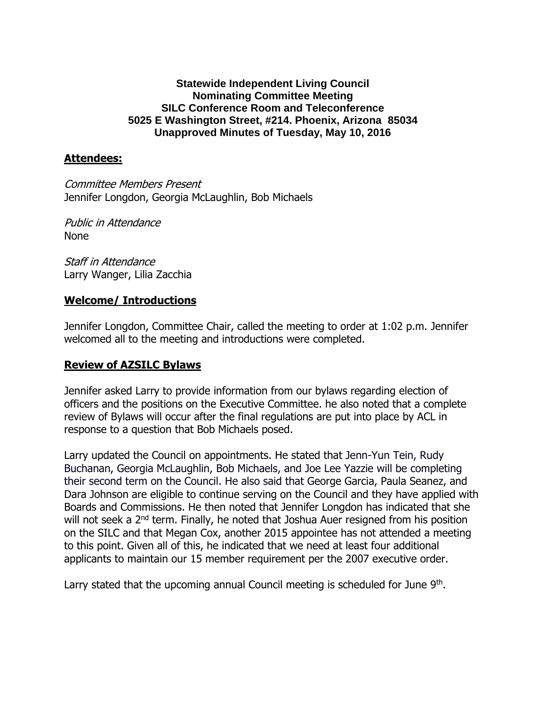#### **Statewide Independent Living Council Nominating Committee Meeting SILC Conference Room and Teleconference 5025 E Washington Street, #214. Phoenix, Arizona 85034 Unapproved Minutes of Tuesday, May 10, 2016**

#### **Attendees:**

Committee Members Present Jennifer Longdon, Georgia McLaughlin, Bob Michaels

Public in Attendance None

Staff in Attendance Larry Wanger, Lilia Zacchia

## **Welcome/ Introductions**

Jennifer Longdon, Committee Chair, called the meeting to order at 1:02 p.m. Jennifer welcomed all to the meeting and introductions were completed.

## **Review of AZSILC Bylaws**

Jennifer asked Larry to provide information from our bylaws regarding election of officers and the positions on the Executive Committee. he also noted that a complete review of Bylaws will occur after the final regulations are put into place by ACL in response to a question that Bob Michaels posed.

Larry updated the Council on appointments. He stated that Jenn-Yun Tein, Rudy Buchanan, Georgia McLaughlin, Bob Michaels, and Joe Lee Yazzie will be completing their second term on the Council. He also said that George Garcia, Paula Seanez, and Dara Johnson are eligible to continue serving on the Council and they have applied with Boards and Commissions. He then noted that Jennifer Longdon has indicated that she will not seek a 2<sup>nd</sup> term. Finally, he noted that Joshua Auer resigned from his position on the SILC and that Megan Cox, another 2015 appointee has not attended a meeting to this point. Given all of this, he indicated that we need at least four additional applicants to maintain our 15 member requirement per the 2007 executive order.

Larry stated that the upcoming annual Council meeting is scheduled for June 9<sup>th</sup>.